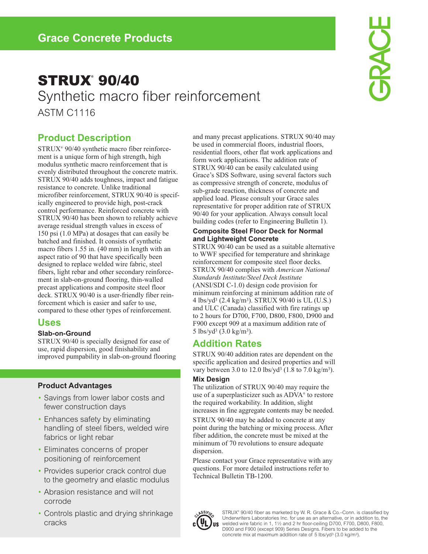# **STRUX® 90/40** Synthetic macro fiber reinforcement ASTM C1116

**GRACE** 

### **Product Description**

STRUX® 90/40 synthetic macro fiber reinforcement is a unique form of high strength, high modulus synthetic macro reinforcement that is evenly distributed throughout the concrete matrix. STRUX 90/40 adds toughness, impact and fatigue resistance to concrete. Unlike traditional microfiber reinforcement, STRUX 90/40 is specifically engineered to provide high, post-crack control performance. Reinforced concrete with STRUX 90/40 has been shown to reliably achieve average residual strength values in excess of 150 psi (1.0 MPa) at dosages that can easily be batched and finished. It consists of synthetic macro fibers 1.55 in. (40 mm) in length with an aspect ratio of 90 that have specifically been designed to replace welded wire fabric, steel fibers, light rebar and other secondary reinforcement in slab-on-ground flooring, thin-walled precast applications and composite steel floor deck. STRUX 90/40 is a user-friendly fiber reinforcement which is easier and safer to use, compared to these other types of reinforcement.

### **Uses**

#### **Slab-on-Ground**

STRUX 90/40 is specially designed for ease of use, rapid dispersion, good finishability and improved pumpability in slab-on-ground flooring

#### **Product Advantages**

- Savings from lower labor costs and fewer construction days
- Enhances safety by eliminating handling of steel fibers, welded wire fabrics or light rebar
- Eliminates concerns of proper positioning of reinforcement
- Provides superior crack control due to the geometry and elastic modulus
- Abrasion resistance and will not corrode
- Controls plastic and drying shrinkage cracks

and many precast applications. STRUX 90/40 may be used in commercial floors, industrial floors, residential floors, other flat work applications and form work applications. The addition rate of STRUX 90/40 can be easily calculated using Grace's SDS Software, using several factors such as compressive strength of concrete, modulus of sub-grade reaction, thickness of concrete and applied load. Please consult your Grace sales representative for proper addition rate of STRUX 90/40 for your application. Always consult local building codes (refer to Engineering Bulletin 1).

#### **Composite Steel Floor Deck for Normal and Lightweight Concrete**

STRUX 90/40 can be used as a suitable alternative to WWF specified for temperature and shrinkage reinforcement for composite steel floor decks. STRUX 90/40 complies with *American National Standards Institute/Steel Deck Institute* (ANSI/SDI C-1.0) design code provision for minimum reinforcing at minimum addition rate of 4 lbs/yd3 (2.4 kg/m3). STRUX 90/40 is UL (U.S.) and ULC (Canada) classified with fire ratings up to 2 hours for D700, F700, D800, F800, D900 and F900 except 909 at a maximum addition rate of 5 lbs/yd3 (3.0 kg/m3).

## **Addition Rates**

STRUX 90/40 addition rates are dependent on the specific application and desired properties and will vary between 3.0 to 12.0 lbs/yd3 (1.8 to 7.0 kg/m3).

#### **Mix Design**

The utilization of STRUX 90/40 may require the use of a superplasticizer such as ADVA® to restore the required workability. In addition, slight increases in fine aggregate contents may be needed. STRUX 90/40 may be added to concrete at any point during the batching or mixing process. After fiber addition, the concrete must be mixed at the minimum of 70 revolutions to ensure adequate dispersion.

Please contact your Grace representative with any questions. For more detailed instructions refer to Technical Bulletin TB-1200.



STRUX® 90/40 fiber as marketed by W. R. Grace & Co.–Conn. is classified by Underwriters Laboratories Inc. for use as an alternative, or in addition to, the welded wire fabric in 1, 11⁄2 and 2 hr floor-ceiling D700, F700, D800, F800, D900 and F900 (except 909) Series Designs. Fibers to be added to the concrete mix at maximum addition rate of 5 lbs/yd3 (3.0 kg/m3).